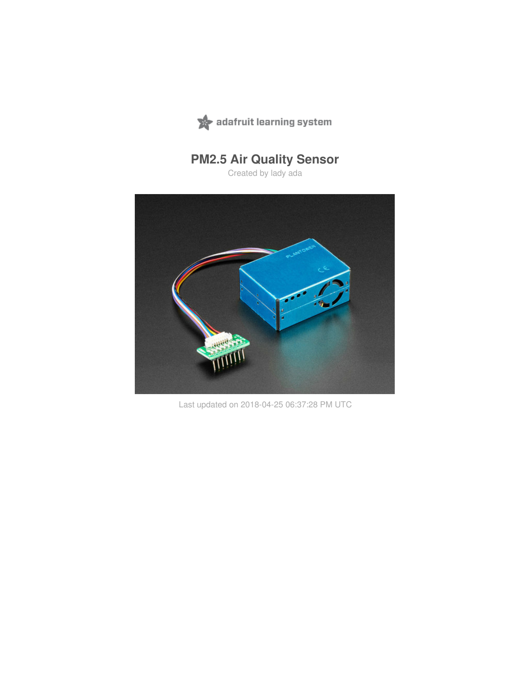

# **PM2.5 Air Quality Sensor**

Created by lady ada



Last updated on 2018-04-25 06:37:28 PM UTC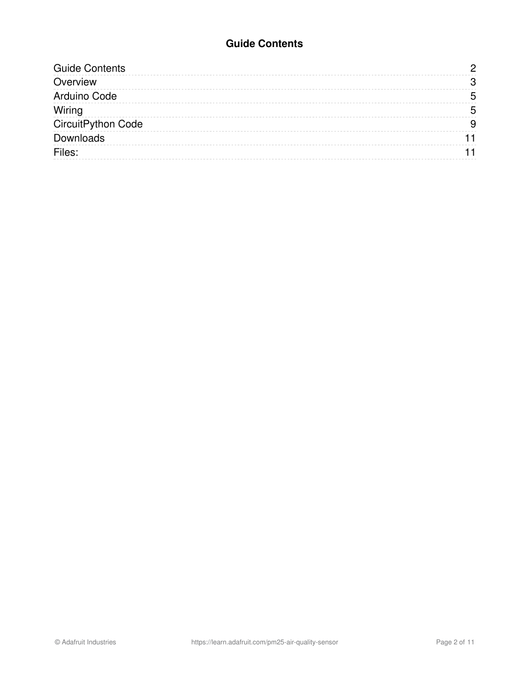#### **Guide Contents**

<span id="page-1-0"></span>

| <b>Guide Contents</b> |   |
|-----------------------|---|
| Overview              |   |
| Arduino Code          | n |
| Wiring                | Б |
| CircuitPython Code    |   |
| Downloads             |   |
| Files:                |   |
|                       |   |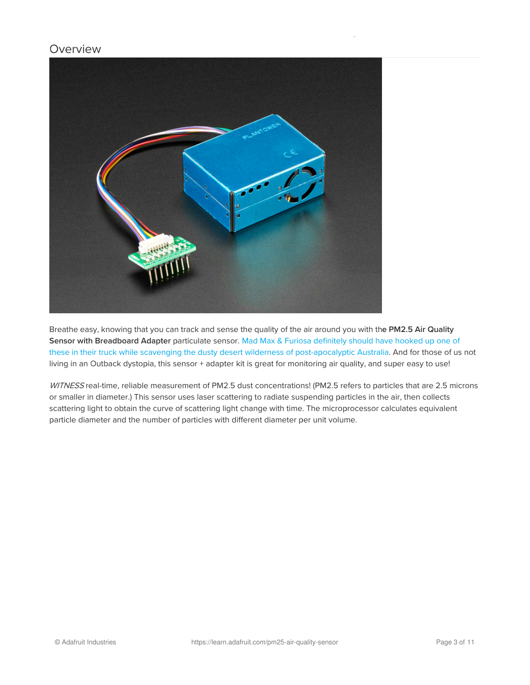#### <span id="page-2-0"></span>**Overview**



Breathe easy, knowing that you can track and sense the quality of the air around you with the PM2.5 Air Quality Sensor with Breadboard Adapter particulate sensor. Mad Max & Furiosa definitely should have hooked up one of these in their truck while scavenging the dusty desert wilderness of [post-apocalyptic](https://en.wikipedia.org/wiki/Mad_Max) Australia. And for those of us not living in an Outback dystopia, this sensor + adapter kit is great for monitoring air quality, and super easy to use!

WITNESS real-time, reliable measurement of PM2.5 dust concentrations! (PM2.5 refers to particles that are 2.5 microns or smaller in diameter.) This sensor uses laser scattering to radiate suspending particles in the air, then collects scattering light to obtain the curve of scattering light change with time. The microprocessor calculates equivalent particle diameter and the number of particles with different diameter per unit volume.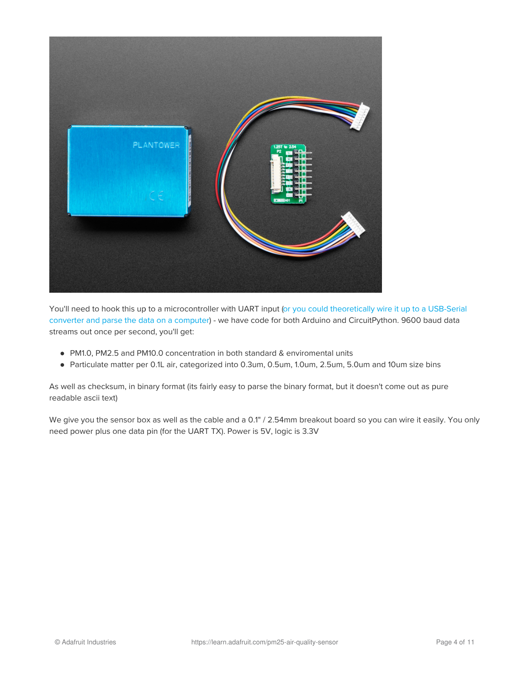

You'll need to hook this up to a [microcontroller](https://www.adafruit.com/product/3309) with UART input (or you could theoretically wire it up to a USB-Serial converter and parse the data on a computer) - we have code for both Arduino and CircuitPython. 9600 baud data streams out once per second, you'll get:

- PM1.0, PM2.5 and PM10.0 concentration in both standard & enviromental units
- Particulate matter per 0.1L air, categorized into 0.3um, 0.5um, 1.0um, 2.5um, 5.0um and 10um size bins

As well as checksum, in binary format (its fairly easy to parse the binary format, but it doesn't come out as pure readable ascii text)

We give you the sensor box as well as the cable and a 0.1" / 2.54mm breakout board so you can wire it easily. You only need power plus one data pin (for the UART TX). Power is 5V, logic is 3.3V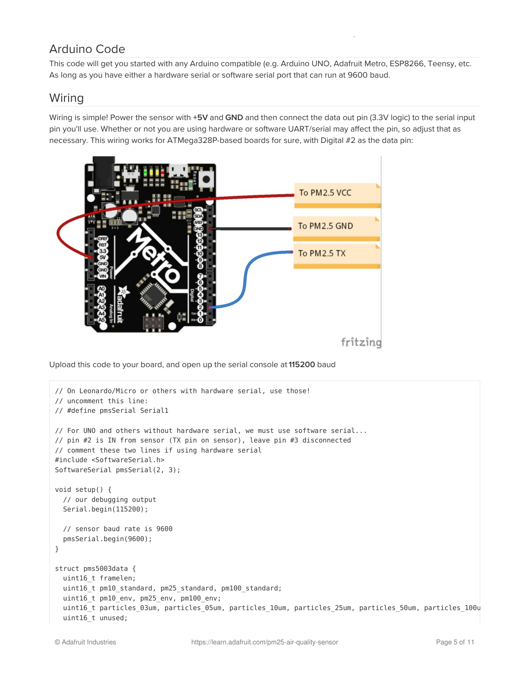## <span id="page-4-0"></span>Arduino Code

This code will get you started with any Arduino compatible (e.g. Arduino UNO, Adafruit Metro, ESP8266, Teensy, etc. As long as you have either a hardware serial or software serial port that can run at 9600 baud.

### <span id="page-4-1"></span>Wiring

Wiring is simple! Power the sensor with +5V and GND and then connect the data out pin (3.3V logic) to the serial input pin you'll use. Whether or not you are using hardware or software UART/serial may affect the pin, so adjust that as necessary. This wiring works for ATMega328P-based boards for sure, with Digital #2 as the data pin:



Upload this code to your board, and open up the serial console at 115200 baud

```
// On Leonardo/Micro or others with hardware serial, use those!
// uncomment this line:
// #define pmsSerial Serial1
// For UNO and others without hardware serial, we must use software serial...
// pin #2 is IN from sensor (TX pin on sensor), leave pin #3 disconnected
// comment these two lines if using hardware serial
#include <SoftwareSerial.h>
SoftwareSerial pmsSerial(2, 3);
void setup() {
 // our debugging output
 Serial.begin(115200);
 // sensor baud rate is 9600
 pmsSerial.begin(9600);
}
struct pms5003data {
 uint16_t framelen;
 uint16_t pm10_standard, pm25_standard, pm100_standard;
 uint16 t pm10 env, pm25 env, pm100 env;
  uint16_t particles_03um, particles_05um, particles_10um, particles_25um, particles_50um, particles_100u
  uint16 t unused;
```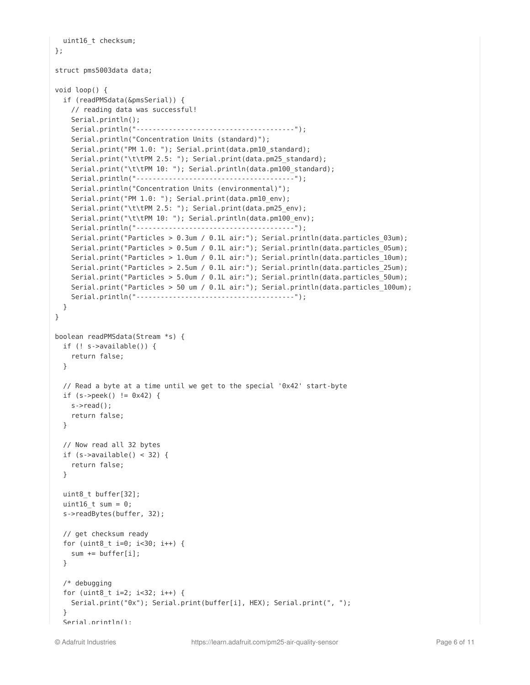```
uint16_t checksum;
};
struct pms5003data data;
void loop() {
 if (readPMSdata(&pmsSerial)) {
    // reading data was successful!
    Serial.println();
    Serial.println("---------------------------------------");
    Serial.println("Concentration Units (standard)");
    Serial.print("PM 1.0: "); Serial.print(data.pm10 standard);
    Serial.print("\t\tPM 2.5: "); Serial.print(data.pm25 standard);
    Serial.print("\t\tPM 10: "); Serial.println(data.pm100_standard);
    Serial.println("---------------------------------------");
    Serial.println("Concentration Units (environmental)");
    Serial.print("PM 1.0: "); Serial.print(data.pm10 env);
    Serial.print("\t\tPM 2.5: "); Serial.print(data.pm25 env);
    Serial.print("\t\tPM 10: "); Serial.println(data.pm100 env);
    Serial.println("---------------------------------------");
    Serial.print("Particles > 0.3um / 0.1L air:"); Serial.println(data.particles_03um);
    Serial.print("Particles > 0.5um / 0.1L air:"); Serial.println(data.particles 05um);
    Serial.print("Particles > 1.0um / 0.1L air:"); Serial.println(data.particles 10um);
    Serial.print("Particles > 2.5um / 0.1L air:"); Serial.println(data.particles 25um);
    Serial.print("Particles > 5.0um / 0.1L air:"); Serial.println(data.particles 50um);
    Serial.print("Particles > 50 um / 0.1L air:"); Serial.println(data.particles 100um);
    Serial.println("---------------------------------------");
 }
}
boolean readPMSdata(Stream *s) {
 if (! s->available()) {
   return false;
 }
 // Read a byte at a time until we get to the special '0x42' start-byte
 if (s - >peek() != 0x42) {
    s->read();
   return false;
 }
 // Now read all 32 bytes
 if (s->available() < 32) {
   return false;
  }
 uint8 t buffer[32];
 uint16 t sum = 0;
 s->readBytes(buffer, 32);
 // get checksum ready
  for (uint8 t i=0; i<30; i++) {
   sum += buffer[i];
 }
 /* debugging
  for (uint8 t i=2; i<32; i++) {
   Serial.print("0x"); Serial.print(buffer[i], HEX); Serial.print(", ");
  }
  Serial.println();
```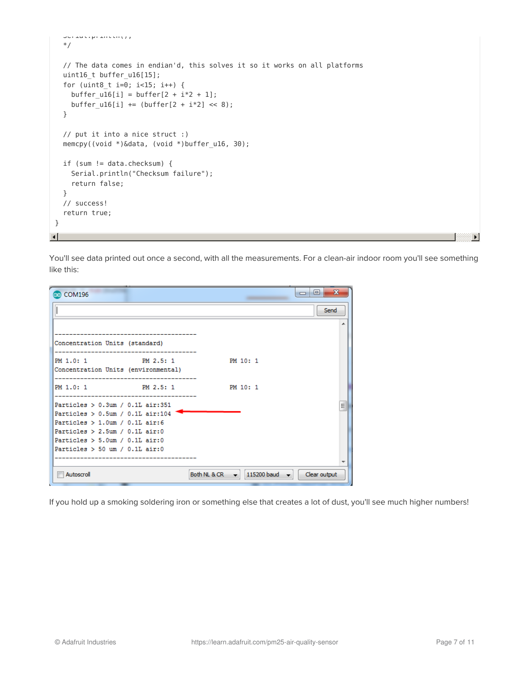```
Serial.println();
  */
  // The data comes in endian'd, this solves it so it works on all platforms
  uint16 t buffer u16[15];
  for (uint8_t i=0; i<15; i++) {
    buffer\_u16[i] = buffer[2 + i*2 + 1];buffer ul6[i] += (buffer[2 + i*2] << 8);
  }
  // put it into a nice struct :)
  memcpy((void *)&data, (void *)buffer_u16, 30);
  if (sum != data.checksum) {
    Serial.println("Checksum failure");
    return false;
  }
  // success!
  return true;
}
\mathbf{A}^{\dagger}
```
You'll see data printed out once a second, with all the measurements. For a clean-air indoor room you'll see something like this:

| @ COM196                                                                   |                                  |              |             | Ж<br>同<br>$\Box$ |
|----------------------------------------------------------------------------|----------------------------------|--------------|-------------|------------------|
|                                                                            |                                  |              |             | Send             |
|                                                                            | -------------------------------- |              |             | ┻                |
| Concentration Units (standard)                                             |                                  |              |             |                  |
| PM 1.0: 1 PM 2.5: 1<br>Concentration Units (environmental)                 |                                  |              | PM 10: 1    |                  |
| PM 1.0: 1 PM 2.5: 1                                                        |                                  |              | PM 10: 1    |                  |
| Particles $> 0.3$ um / 0.1L air:351<br>Particles $> 0.5$ um / 0.1L air:104 |                                  |              |             | 릐                |
| Particles $> 1.0$ um / 0.1L air:6                                          |                                  |              |             |                  |
| Particles $> 2.5$ um / 0.1L air:0<br>Particles $> 5.0$ um / 0.1L air:0     |                                  |              |             |                  |
| Particles $> 50$ um / 0.1L air:0                                           |                                  |              |             |                  |
|                                                                            |                                  |              |             |                  |
| Autoscroll                                                                 |                                  | Both NL & CR | 115200 baud | Clear output     |

If you hold up a smoking soldering iron or something else that creates a lot of dust, you'll see much higher numbers!

 $\mathbf{E}$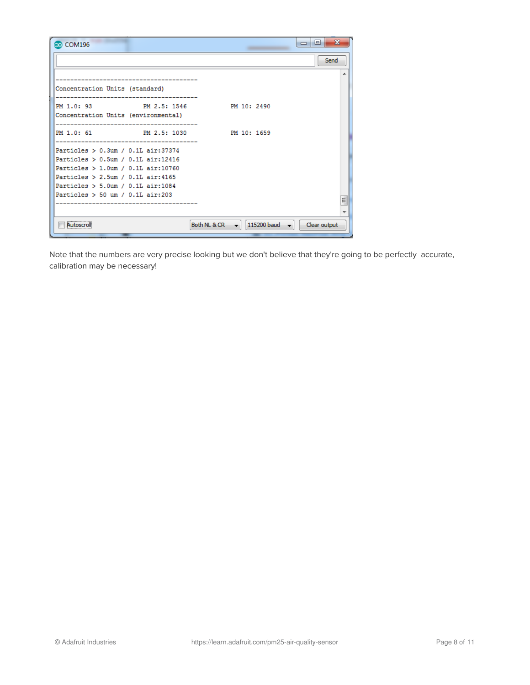| co COM196                                                      |                                 | $\equiv$                                                | х<br>▣       |
|----------------------------------------------------------------|---------------------------------|---------------------------------------------------------|--------------|
|                                                                |                                 |                                                         | Send         |
|                                                                | _______________________________ |                                                         |              |
| Concentration Units (standard)                                 |                                 |                                                         |              |
| PM 1.0: 93 PM 2.5: 1546<br>Concentration Units (environmental) |                                 | PM 10: 2490                                             |              |
| PM 1.0: 61 PM 2.5: 1030                                        |                                 | PM 10: 1659                                             |              |
| Particles > 0.3um / 0.1L air:37374                             |                                 |                                                         |              |
| Particles > 0.5um / 0.1L air:12416                             |                                 |                                                         |              |
| Particles $> 1.0$ um / 0.1L air:10760                          |                                 |                                                         |              |
| Particles $> 2.5$ um / 0.1L air:4165                           |                                 |                                                         |              |
| Particles $> 5.0$ um / 0.1L air:1084                           |                                 |                                                         |              |
| Particles $> 50$ um / 0.1L air:203                             |                                 |                                                         |              |
|                                                                |                                 |                                                         | Ξ            |
|                                                                |                                 |                                                         |              |
| Autoscroll                                                     |                                 | Both NL & CR $\rightarrow$<br>115200 baud $\rightarrow$ | Clear output |
|                                                                |                                 |                                                         |              |

Note that the numbers are very precise looking but we don't believe that they're going to be perfectly accurate, calibration may be necessary!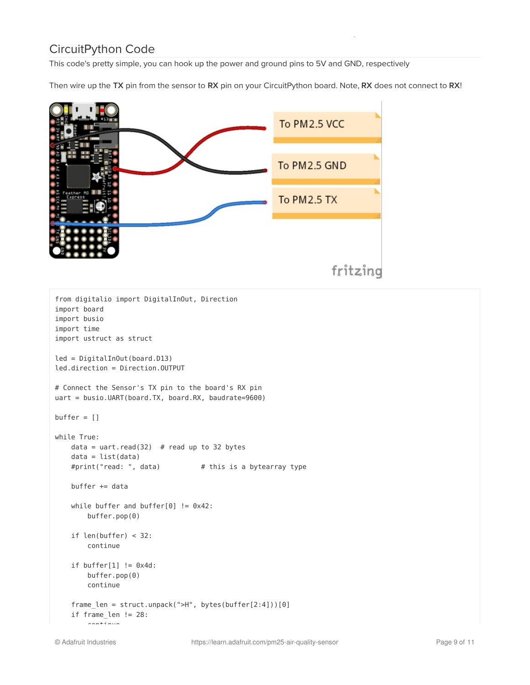## <span id="page-8-0"></span>CircuitPython Code

This code's pretty simple, you can hook up the power and ground pins to 5V and GND, respectively

Then wire up the TX pin from the sensor to RX pin on your CircuitPython board. Note, RX does not connect to RX!



```
from digitalio import DigitalInOut, Direction
import board
import busio
import time
import ustruct as struct
led = DigitalInOut(board.D13)
led.direction = Direction.OUTPUT
# Connect the Sensor's TX pin to the board's RX pin
uart = busio.UART(board.TX, board.RX, baudrate=9600)
buffer = []while True:
   data = uart.read(32) # read up to 32 bytes
   data = list(data)#print("read: ", data) # this is a bytearray type
   buffer += data
   while buffer and buffer[0] != 0x42:
       buffer.pop(0)
   if len(buffer) < 32:
       continue
   if buffer[1] != 0x4d:
       buffer.pop(0)
       continue
    frame len = struct.unpack(">H", bytes(buffer[2:4]))[0]
    if frame_len != 28:
        continue
```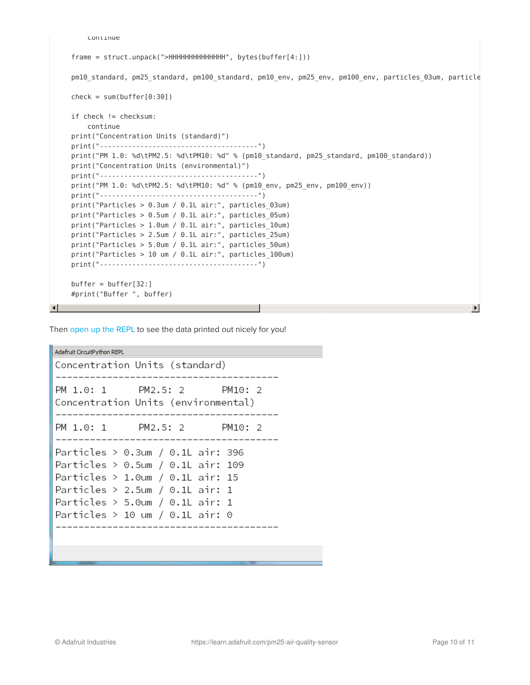```
continue
     frame = struct.unpack(">HHHHHHHHHHHHHH", bytes(buffer[4:]))
     pm10 standard, pm25 standard, pm100 standard, pm10 env, pm25 env, pm100 env, particles 03um, particle
     check = sum(buffer[0:30])if check != checksum:
        continue
     print("Concentration Units (standard)")
     print("---------------------------------------")
     print("PM 1.0: %d\tPM2.5: %d\tPM10: %d" % (pm10_standard, pm25_standard, pm100_standard))
     print("Concentration Units (environmental)")
     print("---------------------------------------")
     print("PM 1.0: %d\tPM2.5: %d\tPM10: %d" % (pm10_env, pm25_env, pm100_env))
     print("---------------------------------------")
     print("Particles > 0.3um / 0.1L air:", particles_03um)
     print("Particles > 0.5um / 0.1L air:", particles_05um)
     print("Particles > 1.0um / 0.1L air:", particles_10um)
     print("Particles > 2.5um / 0.1L air:", particles_25um)
     print("Particles > 5.0um / 0.1L air:", particles_50um)
     print("Particles > 10 um / 0.1L air:", particles_100um)
     print("---------------------------------------")
     buffer = buffer[32:]#print("Buffer ", buffer)
All Contract Contracts
```
Then [open](file:///welcome-to-circuitpython/kattni-connecting-to-the-serial-console) up the REPL to see the data printed out nicely for you!

Adafruit CircuitPython REPL Concentration Units (standard) PM 1.0: 1 PM2.5: 2 PM10: 2 Concentration Units (environmental) PM 1.0: 1 PM2.5: 2 PM10: 2 Particles >  $0.3$ um /  $0.1$ L air: 396 Particles >  $0.5$ um /  $0.1$ L air: 109 Particles > 1.0um / 0.1L air: 15 Particles > 2.5um / 0.1L air: 1 Particles >  $5.0$ um / 0.1L air: 1 Particles > 10 um / 0.1L air: 0